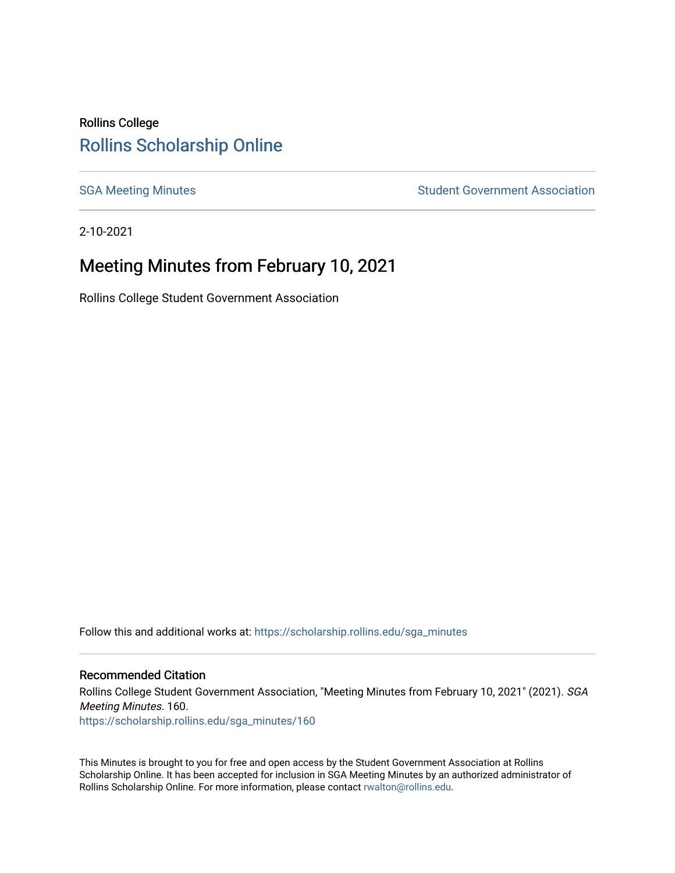## Rollins College [Rollins Scholarship Online](https://scholarship.rollins.edu/)

[SGA Meeting Minutes](https://scholarship.rollins.edu/sga_minutes) **SGA Meeting Minutes** SGA Meeting Minutes **STEER** Student Government Association

2-10-2021

# Meeting Minutes from February 10, 2021

Rollins College Student Government Association

Follow this and additional works at: [https://scholarship.rollins.edu/sga\\_minutes](https://scholarship.rollins.edu/sga_minutes?utm_source=scholarship.rollins.edu%2Fsga_minutes%2F160&utm_medium=PDF&utm_campaign=PDFCoverPages)

#### Recommended Citation

Rollins College Student Government Association, "Meeting Minutes from February 10, 2021" (2021). SGA Meeting Minutes. 160. [https://scholarship.rollins.edu/sga\\_minutes/160](https://scholarship.rollins.edu/sga_minutes/160?utm_source=scholarship.rollins.edu%2Fsga_minutes%2F160&utm_medium=PDF&utm_campaign=PDFCoverPages)

This Minutes is brought to you for free and open access by the Student Government Association at Rollins Scholarship Online. It has been accepted for inclusion in SGA Meeting Minutes by an authorized administrator of Rollins Scholarship Online. For more information, please contact [rwalton@rollins.edu](mailto:rwalton@rollins.edu).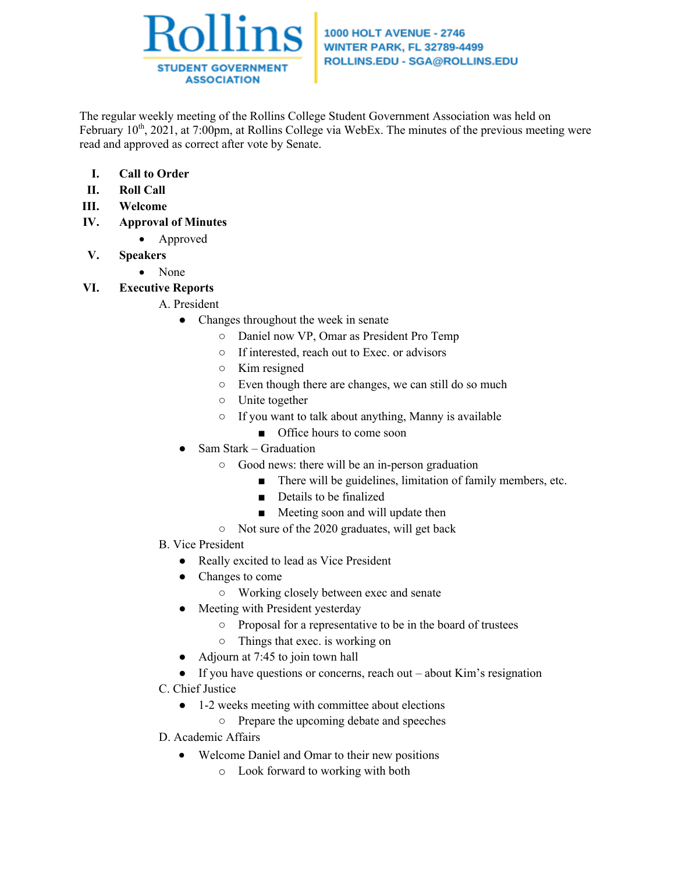

#### **1000 HOLT AVENUE - 2746 WINTER PARK, FL 32789-4499** ROLLINS.EDU - SGA@ROLLINS.EDU

The regular weekly meeting of the Rollins College Student Government Association was held on February  $10<sup>th</sup>$ , 2021, at 7:00pm, at Rollins College via WebEx. The minutes of the previous meeting were read and approved as correct after vote by Senate.

- **I. Call to Order**
- **II. Roll Call**
- **III. Welcome**
- **IV. Approval of Minutes**
	- Approved
- **V. Speakers**
	- None
- **VI. Executive Reports**

#### A. President

- Changes throughout the week in senate
	- Daniel now VP, Omar as President Pro Temp
	- If interested, reach out to Exec. or advisors
	- Kim resigned
	- Even though there are changes, we can still do so much
	- Unite together
	- If you want to talk about anything, Manny is available
		- Office hours to come soon
- Sam Stark Graduation
	- Good news: there will be an in-person graduation
		- There will be guidelines, limitation of family members, etc.
		- Details to be finalized
		- Meeting soon and will update then
	- Not sure of the 2020 graduates, will get back
- B. Vice President
	- Really excited to lead as Vice President
	- Changes to come
		- Working closely between exec and senate
	- Meeting with President yesterday
		- Proposal for a representative to be in the board of trustees
		- Things that exec. is working on
	- Adjourn at 7:45 to join town hall
	- $\bullet$  If you have questions or concerns, reach out about Kim's resignation
- C. Chief Justice
	- 1-2 weeks meeting with committee about elections
		- Prepare the upcoming debate and speeches
- D. Academic Affairs
	- Welcome Daniel and Omar to their new positions
		- o Look forward to working with both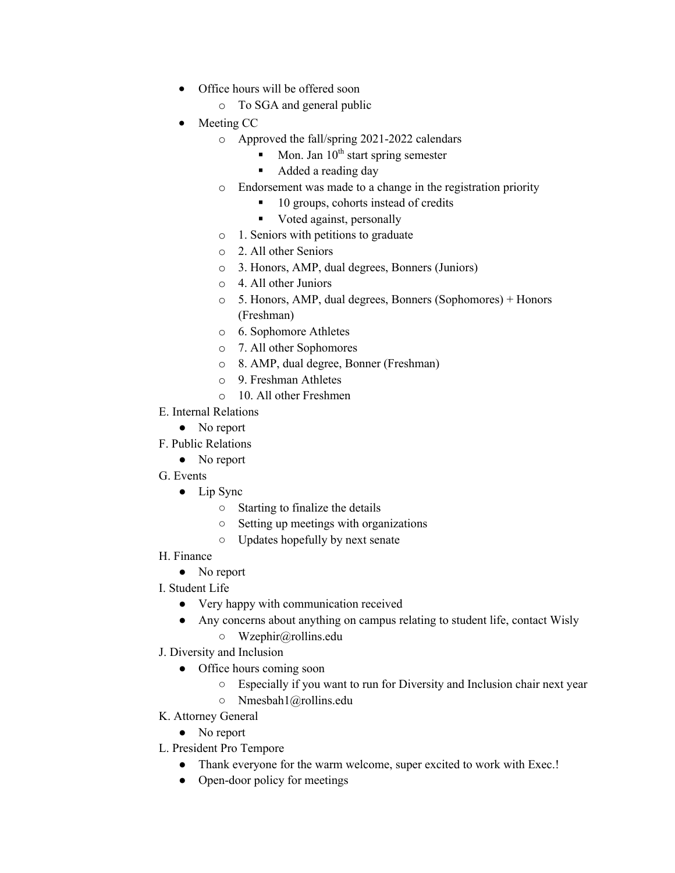- Office hours will be offered soon
	- o To SGA and general public
- Meeting CC
	- o Approved the fall/spring 2021-2022 calendars
		- Mon. Jan  $10^{th}$  start spring semester
		- Added a reading day
	- o Endorsement was made to a change in the registration priority
		- § 10 groups, cohorts instead of credits
		- Voted against, personally
	- o 1. Seniors with petitions to graduate
	- o 2. All other Seniors
	- o 3. Honors, AMP, dual degrees, Bonners (Juniors)
	- o 4. All other Juniors
	- o 5. Honors, AMP, dual degrees, Bonners (Sophomores) + Honors (Freshman)
	- o 6. Sophomore Athletes
	- o 7. All other Sophomores
	- o 8. AMP, dual degree, Bonner (Freshman)
	- o 9. Freshman Athletes
	- o 10. All other Freshmen
- E. Internal Relations
	- No report
- F. Public Relations
	- No report
- G. Events
	- Lip Sync
		- Starting to finalize the details
		- Setting up meetings with organizations
		- Updates hopefully by next senate
- H. Finance
	- No report
- I. Student Life
	- Very happy with communication received
	- Any concerns about anything on campus relating to student life, contact Wisly
		- Wzephir@rollins.edu
- J. Diversity and Inclusion
	- Office hours coming soon
		- Especially if you want to run for Diversity and Inclusion chair next year
		- Nmesbah1@rollins.edu
- K. Attorney General
	- No report
- L. President Pro Tempore
	- Thank everyone for the warm welcome, super excited to work with Exec.!
	- Open-door policy for meetings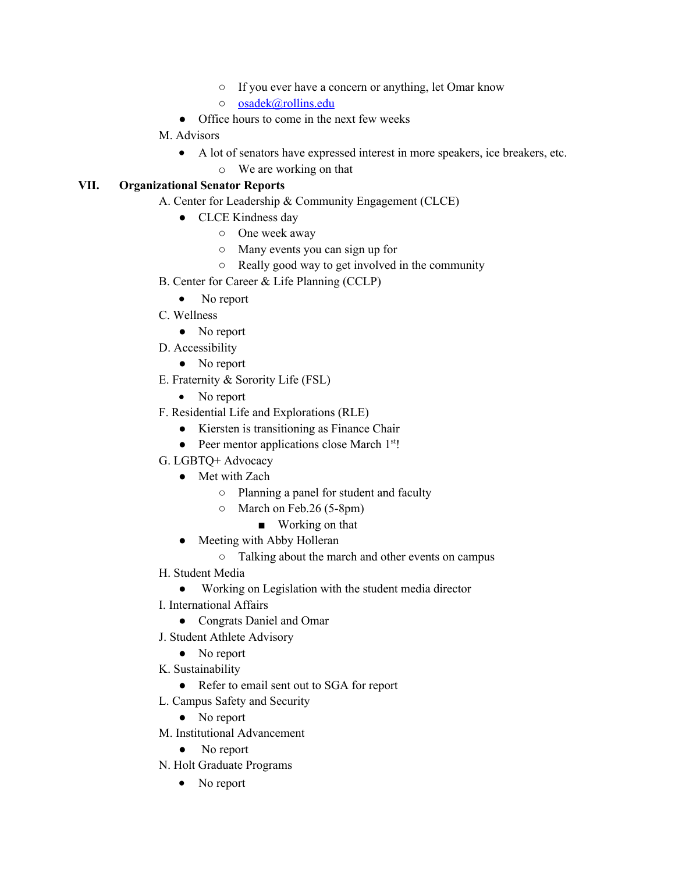- If you ever have a concern or anything, let Omar know
- osadek@rollins.edu
- Office hours to come in the next few weeks

#### M. Advisors

- A lot of senators have expressed interest in more speakers, ice breakers, etc.
	- o We are working on that

#### **VII. Organizational Senator Reports**

- A. Center for Leadership & Community Engagement (CLCE)
	- CLCE Kindness day
		- One week away
		- Many events you can sign up for
		- Really good way to get involved in the community
- B. Center for Career & Life Planning (CCLP)
	- No report
- C. Wellness
	- No report
- D. Accessibility
	- No report
- E. Fraternity & Sorority Life (FSL)
	- No report
- F. Residential Life and Explorations (RLE)
	- Kiersten is transitioning as Finance Chair
	- $\bullet$  Peer mentor applications close March  $1<sup>st</sup>$ !
- G. LGBTQ+ Advocacy
	- Met with Zach
		- Planning a panel for student and faculty
		- March on Feb.26 (5-8pm)
			- Working on that
	- Meeting with Abby Holleran
		- Talking about the march and other events on campus
- H. Student Media
	- Working on Legislation with the student media director
- I. International Affairs
	- Congrats Daniel and Omar
- J. Student Athlete Advisory
	- No report
- K. Sustainability
	- Refer to email sent out to SGA for report
- L. Campus Safety and Security
	- No report
- M. Institutional Advancement
	- No report
- N. Holt Graduate Programs
	- No report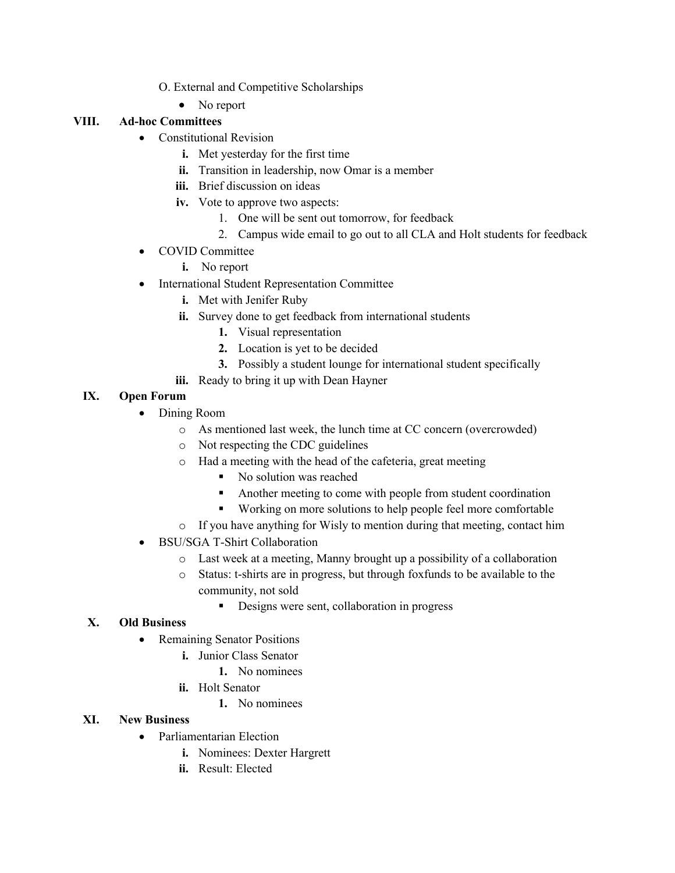- O. External and Competitive Scholarships
	- No report

## **VIII. Ad-hoc Committees**

- Constitutional Revision
	- **i.** Met yesterday for the first time
	- **ii.** Transition in leadership, now Omar is a member
	- **iii.** Brief discussion on ideas
	- **iv.** Vote to approve two aspects:
		- 1. One will be sent out tomorrow, for feedback
		- 2. Campus wide email to go out to all CLA and Holt students for feedback
- COVID Committee
	- **i.** No report
- International Student Representation Committee
	- **i.** Met with Jenifer Ruby
	- **ii.** Survey done to get feedback from international students
		- **1.** Visual representation
		- **2.** Location is yet to be decided
		- **3.** Possibly a student lounge for international student specifically
	- **iii.** Ready to bring it up with Dean Hayner

### **IX. Open Forum**

- Dining Room
	- o As mentioned last week, the lunch time at CC concern (overcrowded)
	- o Not respecting the CDC guidelines
	- o Had a meeting with the head of the cafeteria, great meeting
		- No solution was reached
		- Another meeting to come with people from student coordination
		- Working on more solutions to help people feel more comfortable
	- o If you have anything for Wisly to mention during that meeting, contact him
- BSU/SGA T-Shirt Collaboration
	- o Last week at a meeting, Manny brought up a possibility of a collaboration
	- o Status: t-shirts are in progress, but through foxfunds to be available to the community, not sold
		- Designs were sent, collaboration in progress

### **X. Old Business**

- Remaining Senator Positions
	- **i.** Junior Class Senator
		- **1.** No nominees
	- **ii.** Holt Senator
		- **1.** No nominees

#### **XI. New Business**

- Parliamentarian Election
	- **i.** Nominees: Dexter Hargrett
	- **ii.** Result: Elected